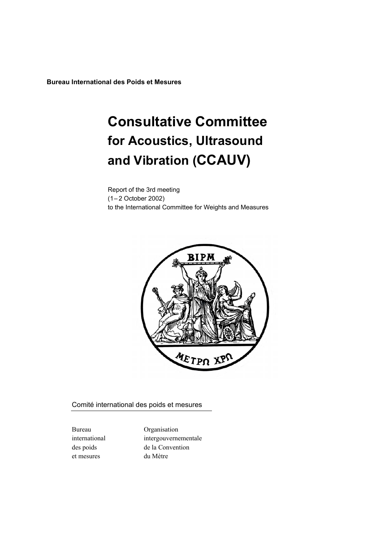**Bureau International des Poids et Mesures** 

# **Consultative Committee for Acoustics, Ultrasound and Vibration (CCAUV)**

Report of the 3rd meeting (1– 2 October 2002) to the International Committee for Weights and Measures



Comité international des poids et mesures

et mesures du Mètre

Bureau Organisation international intergouvernementale des poids de la Convention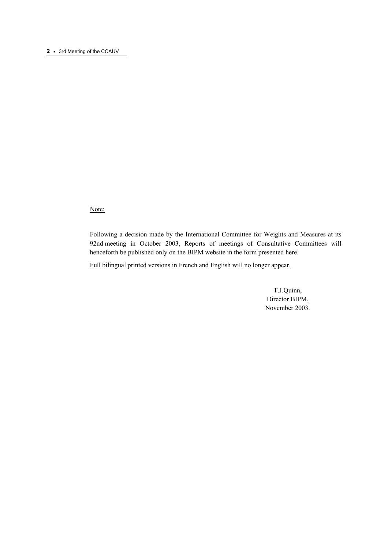## **2 ·** 3rd Meeting of the CCAUV

Note:

Following a decision made by the International Committee for Weights and Measures at its 92nd meeting in October 2003, Reports of meetings of Consultative Committees will henceforth be published only on the BIPM website in the form presented here.

Full bilingual printed versions in French and English will no longer appear.

 T.J.Quinn, Director BIPM, November 2003.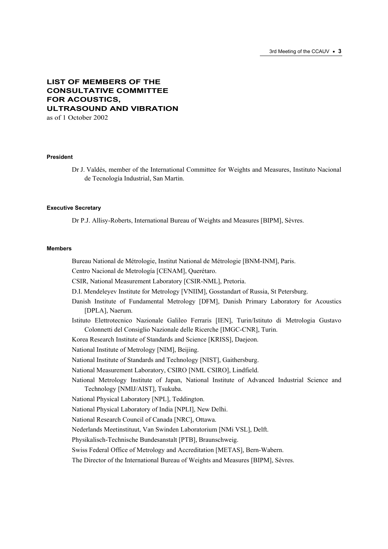# **LIST OF MEMBERS OF THE CONSULTATIVE COMMITTEE FOR ACOUSTICS, ULTRASOUND AND VIBRATION**

as of 1 October 2002

#### **President**

Dr J. Valdés, member of the International Committee for Weights and Measures, Instituto Nacional de Tecnología Industrial, San Martin.

#### **Executive Secretary**

Dr P.J. Allisy-Roberts, International Bureau of Weights and Measures [BIPM], Sèvres.

#### **Members**

Bureau National de Métrologie, Institut National de Métrologie [BNM-INM], Paris. Centro Nacional de Metrología [CENAM], Querétaro. CSIR, National Measurement Laboratory [CSIR-NML], Pretoria. D.I. Mendeleyev Institute for Metrology [VNIIM], Gosstandart of Russia, St Petersburg. Danish Institute of Fundamental Metrology [DFM], Danish Primary Laboratory for Acoustics [DPLA], Naerum. Istituto Elettrotecnico Nazionale Galileo Ferraris [IEN], Turin/Istituto di Metrologia Gustavo Colonnetti del Consiglio Nazionale delle Ricerche [IMGC-CNR], Turin. Korea Research Institute of Standards and Science [KRISS], Daejeon. National Institute of Metrology [NIM], Beijing. National Institute of Standards and Technology [NIST], Gaithersburg. National Measurement Laboratory, CSIRO [NML CSIRO], Lindfield. National Metrology Institute of Japan, National Institute of Advanced Industrial Science and Technology [NMIJ/AIST], Tsukuba. National Physical Laboratory [NPL], Teddington. National Physical Laboratory of India [NPLI], New Delhi. National Research Council of Canada [NRC], Ottawa. Nederlands Meetinstituut, Van Swinden Laboratorium [NMi VSL], Delft. Physikalisch-Technische Bundesanstalt [PTB], Braunschweig. Swiss Federal Office of Metrology and Accreditation [METAS], Bern-Wabern. The Director of the International Bureau of Weights and Measures [BIPM], Sèvres.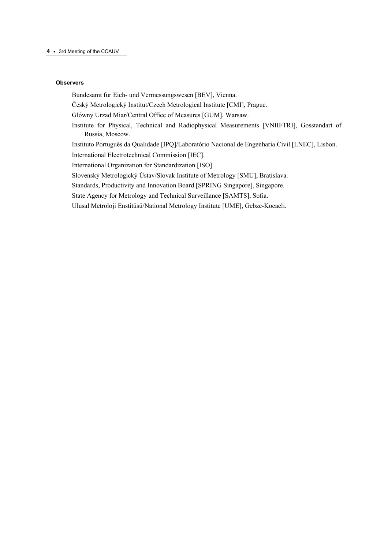## **Observers**

Bundesamt für Eich- und Vermessungswesen [BEV], Vienna.

Český Metrologický Institut/Czech Metrological Institute [CMI], Prague.

Glówny Urzad Miar/Central Office of Measures [GUM], Warsaw.

Institute for Physical, Technical and Radiophysical Measurements [VNIIFTRI], Gosstandart of Russia, Moscow.

Instituto Português da Qualidade [IPQ]/Laboratório Nacional de Engenharia Civil [LNEC], Lisbon.

International Electrotechnical Commission [IEC].

International Organization for Standardization [ISO].

Slovenský Metrologický Ústav/Slovak Institute of Metrology [SMU], Bratislava.

Standards, Productivity and Innovation Board [SPRING Singapore], Singapore.

State Agency for Metrology and Technical Surveillance [SAMTS], Sofia.

Ulusal Metroloji Enstitüsü/National Metrology Institute [UME], Gebze-Kocaeli.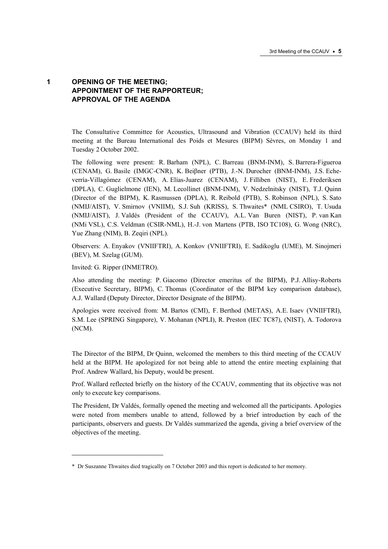# **1 OPENING OF THE MEETING; APPOINTMENT OF THE RAPPORTEUR; APPROVAL OF THE AGENDA**

The Consultative Committee for Acoustics, Ultrasound and Vibration (CCAUV) held its third meeting at the Bureau International des Poids et Mesures (BIPM) Sèvres, on Monday 1 and Tuesday 2 October 2002.

The following were present: R. Barham (NPL), C. Barreau (BNM-INM), S. Barrera-Figueroa (CENAM), G. Basile (IMGC-CNR), K. Beiβner (PTB), J.-N. Durocher (BNM-INM), J.S. Echeverría-Villagómez (CENAM), A. Elías-Juarez (CENAM), J. Filliben (NIST), E. Frederiksen (DPLA), C. Guglielmone (IEN), M. Lecollinet (BNM-INM), V. Nedzelnitsky (NIST), T.J. Quinn (Director of the BIPM), K. Rasmussen (DPLA), R. Reibold (PTB), S. Robinson (NPL), S. Sato (NMIJ/AIST), V. Smirnov (VNIIM), S.J. Suh (KRlSS), S. Thwaites\* (NML CSIRO), T. Usuda (NMIJ/AIST), J. Valdés (President of the CCAUV), A.L. Van Buren (NIST), P. van Kan (NMi VSL), C.S. Veldman (CSIR-NML), H.-J. von Martens (PTB, ISO TC108), G. Wong (NRC), Yue Zhang (NIM), B. Zeqiri (NPL).

Observers: A. Enyakov (VNIIFTRI), A. Konkov (VNIIFTRI), E. Sadikoglu (UME), M. Sinojmeri (BEV), M. Szelag (GUM).

Invited: G. Ripper (INMETRO).

 $\overline{\phantom{a}}$ 

Also attending the meeting: P. Giacomo (Director emeritus of the BIPM), P.J. Allisy-Roberts (Executive Secretary, BIPM), C. Thomas (Coordinator of the BIPM key comparison database), A.J. Wallard (Deputy Director, Director Designate of the BIPM).

Apologies were received from: M. Bartos (CMI), F. Berthod (METAS), A.E. Isaev (VNIIFTRI), S.M. Lee (SPRING Singapore), V. Mohanan (NPLI), R. Preston (IEC TC87), (NIST), A. Todorova (NCM).

The Director of the BIPM, Dr Quinn, welcomed the members to this third meeting of the CCAUV held at the BIPM. He apologized for not being able to attend the entire meeting explaining that Prof. Andrew Wallard, his Deputy, would be present.

Prof. Wallard reflected briefly on the history of the CCAUV, commenting that its objective was not only to execute key comparisons.

The President, Dr Valdés, formally opened the meeting and welcomed all the participants. Apologies were noted from members unable to attend, followed by a brief introduction by each of the participants, observers and guests. Dr Valdés summarized the agenda, giving a brief overview of the objectives of the meeting.

<sup>\*</sup> Dr Suszanne Thwaites died tragically on 7 October 2003 and this report is dedicated to her memory.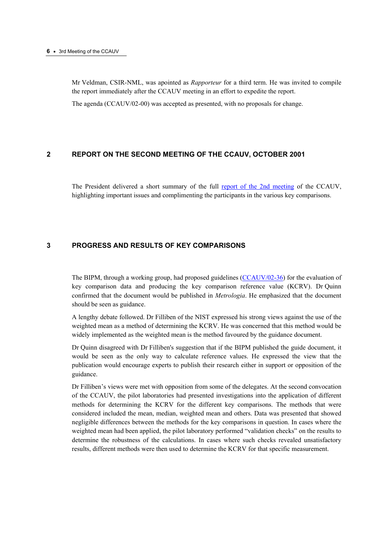Mr Veldman, CSIR-NML, was apointed as *Rapporteur* for a third term. He was invited to compile the report immediately after the CCAUV meeting in an effort to expedite the report.

The agenda (CCAUV/02-00) was accepted as presented, with no proposals for change.

# **2 REPORT ON THE SECOND MEETING OF THE CCAUV, OCTOBER 2001**

The President delivered a short summary of the ful[l report of the 2nd meeting o](https://www.bipm.org/en/committees/cc/ccauv/publications_cc.html)f the CCAUV, highlighting important issues and complimenting the participants in the various key comparisons.

# **3 PROGRESS AND RESULTS OF KEY COMPARISONS**

The BIPM, through a working group, had proposed guidelines [\(CCAUV/02-36\) f](https://www.bipm.org/cc/CCAUV/Allowed/3/CCAUV02-36.pdf)or the evaluation of key comparison data and producing the key comparison reference value (KCRV). Dr Quinn confirmed that the document would be published in *Metrologia*. He emphasized that the document should be seen as guidance.

A lengthy debate followed. Dr Filliben of the NIST expressed his strong views against the use of the weighted mean as a method of determining the KCRV. He was concerned that this method would be widely implemented as the weighted mean is the method favoured by the guidance document.

Dr Quinn disagreed with Dr Filliben's suggestion that if the BIPM published the guide document, it would be seen as the only way to calculate reference values. He expressed the view that the publication would encourage experts to publish their research either in support or opposition of the guidance.

Dr Filliben's views were met with opposition from some of the delegates. At the second convocation of the CCAUV, the pilot laboratories had presented investigations into the application of different methods for determining the KCRV for the different key comparisons. The methods that were considered included the mean, median, weighted mean and others. Data was presented that showed negligible differences between the methods for the key comparisons in question. In cases where the weighted mean had been applied, the pilot laboratory performed "validation checks" on the results to determine the robustness of the calculations. In cases where such checks revealed unsatisfactory results, different methods were then used to determine the KCRV for that specific measurement.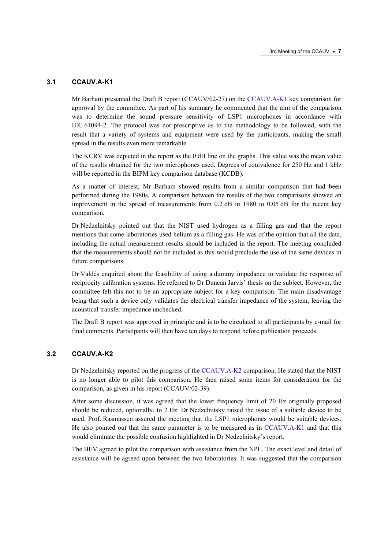## **3.1 CCAUV.A-K1**

Mr Barham presented the Draft B report (CCAUV/02-27) on th[e CCAUV.A-K1 ke](http://kcdb.bipm.org/AppendixB/KCDB_ApB_search_result.asp?search=2&cmp_cod_search=CCAUV.A-K1&match_exact=0)y comparison for approval by the committee. As part of his summary he commented that the aim of the comparison was to determine the sound pressure sensitivity of LSP1 microphones in accordance with IEC 61094-2. The protocol was not prescriptive as to the methodology to be followed, with the result that a variety of systems and equipment were used by the participants, making the small spread in the results even more remarkable.

The KCRV was depicted in the report as the 0 dB line on the graphs. This value was the mean value of the results obtained for the two microphones used. Degrees of equivalence for 250 Hz and 1 kHz will be reported in the BIPM key comparison database (KCDB).

As a matter of interest, Mr Barham showed results from a similar comparison that had been performed during the 1980s. A comparison between the results of the two comparisons showed an improvement in the spread of measurements from 0.2 dB in 1980 to 0.05 dB for the recent key comparison.

Dr Nedzelnitsky pointed out that the NIST used hydrogen as a filling gas and that the report mentions that some laboratories used helium as a filling gas. He was of the opinion that all the data, including the actual measurement results should be included in the report. The meeting concluded that the measurements should not be included as this would preclude the use of the same devices in future comparisons.

Dr Valdés enquired about the feasibility of using a dummy impedance to validate the response of reciprocity calibration systems. He referred to Dr Duncan Jarvis' thesis on the subject. However, the committee felt this not to be an appropriate subject for a key comparison. The main disadvantage being that such a device only validates the electrical transfer impedance of the system, leaving the acoustical transfer impedance unchecked.

The Draft B report was approved in principle and is to be circulated to all participants by e-mail for final comments. Participants will then have ten days to respond before publication proceeds.

# **3.2 CCAUV.A-K2**

Dr Nedzelnitsky reported on the progress of t[he CCAUV.A-K2 com](http://kcdb.bipm.org/AppendixB/KCDB_ApB_search_result.asp?search=2&cmp_cod_search=CCAUV.a-K2&match_exact=0)parison. He stated that the NIST is no longer able to pilot this comparison. He then raised some items for consideration for the comparison, as given in his report (CCAUV/02-39).

After some discussion, it was agreed that the lower frequency limit of 20 Hz originally proposed should be reduced, optionally, to 2 Hz. Dr Nedzelnitsky raised the issue of a suitable device to be used. Prof. Rasmussen assured the meeting that the LSP1 microphones would be suitable devices. He also pointed out that the same parameter is to be measured as [in CCAUV.A-K1 an](http://kcdb.bipm.org/AppendixB/KCDB_ApB_search_result.asp?search=2&cmp_cod_search=CCAUV.A-K1&match_exact=0)d that this would eliminate the possible confusion highlighted in Dr Nedzelnitsky's report.

The BEV agreed to pilot the comparison with assistance from the NPL. The exact level and detail of assistance will be agreed upon between the two laboratories. It was suggested that the comparison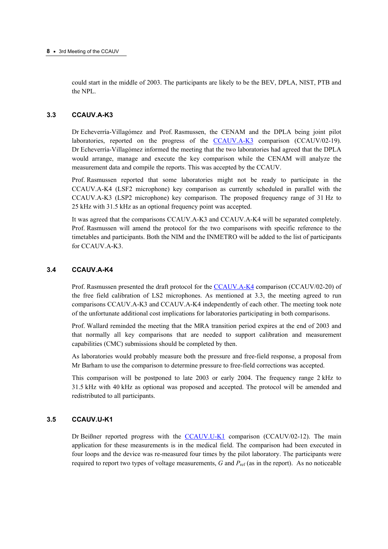could start in the middle of 2003. The participants are likely to be the BEV, DPLA, NIST, PTB and the NPL.

## **3.3 CCAUV.A-K3**

Dr Echeverría-Villagómez and Prof. Rasmussen, the CENAM and the DPLA being joint pilot laboratories, reported on the progress of th[e CCAUV.A-K3 co](http://kcdb.bipm.org/AppendixB/KCDB_ApB_search_result.asp?search=2&cmp_cod_search=CCAUV.a-K3&match_exact=0)mparison (CCAUV/02-19). Dr Echeverría-Villagómez informed the meeting that the two laboratories had agreed that the DPLA would arrange, manage and execute the key comparison while the CENAM will analyze the measurement data and compile the reports. This was accepted by the CCAUV.

Prof. Rasmussen reported that some laboratories might not be ready to participate in the CCAUV.A-K4 (LSF2 microphone) key comparison as currently scheduled in parallel with the CCAUV.A-K3 (LSP2 microphone) key comparison. The proposed frequency range of 31 Hz to 25 kHz with 31.5 kHz as an optional frequency point was accepted.

It was agreed that the comparisons CCAUV.A-K3 and CCAUV.A-K4 will be separated completely. Prof. Rasmussen will amend the protocol for the two comparisons with specific reference to the timetables and participants. Both the NIM and the INMETRO will be added to the list of participants for CCAUV.A-K3.

## **3.4 CCAUV.A-K4**

Prof. Rasmussen presented the draft protocol for th[e CCAUV.A-K4 com](http://kcdb.bipm.org/AppendixB/KCDB_ApB_search_result.asp?search=2&cmp_cod_search=CCAUV.a-K4&match_exact=0)parison (CCAUV/02-20) of the free field calibration of LS2 microphones. As mentioned at 3.3, the meeting agreed to run comparisons CCAUV.A-K3 and CCAUV.A-K4 independently of each other. The meeting took note of the unfortunate additional cost implications for laboratories participating in both comparisons.

Prof. Wallard reminded the meeting that the MRA transition period expires at the end of 2003 and that normally all key comparisons that are needed to support calibration and measurement capabilities (CMC) submissions should be completed by then.

As laboratories would probably measure both the pressure and free-field response, a proposal from Mr Barham to use the comparison to determine pressure to free-field corrections was accepted.

This comparison will be postponed to late 2003 or early 2004. The frequency range 2 kHz to 31.5 kHz with 40 kHz as optional was proposed and accepted. The protocol will be amended and redistributed to all participants.

## **3.5 CCAUV.U-K1**

Dr Beißner reported progress with th[e CCAUV.U-K1 co](http://kcdb.bipm.org/AppendixB/KCDB_ApB_search_result.asp?search=2&cmp_cod_search=CCAUV.U-K1&match_exact=0)mparison (CCAUV/02-12). The main application for these measurements is in the medical field. The comparison had been executed in four loops and the device was re-measured four times by the pilot laboratory. The participants were required to report two types of voltage measurements, *G* and *P*ref (as in the report). As no noticeable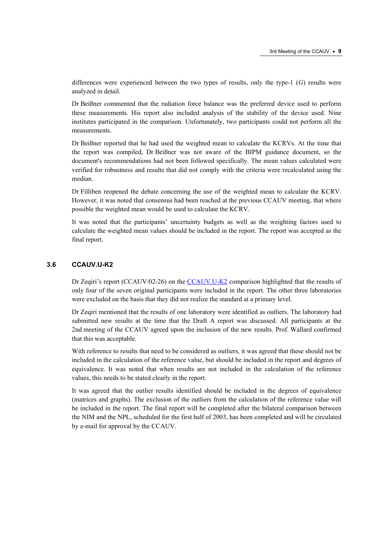differences were experienced between the two types of results, only the type-1 (*G*) results were analyzed in detail.

Dr Beißner commented that the radiation force balance was the preferred device used to perform these measurements. His report also included analysis of the stability of the device used. Nine institutes participated in the comparison. Unfortunately, two participants could not perform all the measurements.

Dr Beißner reported that he had used the weighted mean to calculate the KCRVs. At the time that the report was compiled, Dr Beißner was not aware of the BIPM guidance document, so the document's recommendations had not been followed specifically. The mean values calculated were verified for robustness and results that did not comply with the criteria were recalculated using the median.

Dr Filliben reopened the debate concerning the use of the weighted mean to calculate the KCRV. However, it was noted that consensus had been reached at the previous CCAUV meeting, that where possible the weighted mean would be used to calculate the KCRV.

It was noted that the participants' uncertainty budgets as well as the weighting factors used to calculate the weighted mean values should be included in the report. The report was accepted as the final report.

# **3.6 CCAUV.U-K2**

Dr Zeqiri's report (CCAUV/02-26) on [the CCAUV.U-K2 co](http://kcdb.bipm.org/AppendixB/KCDB_ApB_search_result.asp?search=2&cmp_cod_search=CCAUV.U-K2&match_exact=0)mparison highlighted that the results of only four of the seven original participants were included in the report. The other three laboratories were excluded on the basis that they did not realize the standard at a primary level.

Dr Zeqiri mentioned that the results of one laboratory were identified as outliers. The laboratory had submitted new results at the time that the Draft A report was discussed. All participants at the 2nd meeting of the CCAUV agreed upon the inclusion of the new results. Prof. Wallard confirmed that this was acceptable.

With reference to results that need to be considered as outliers, it was agreed that these should not be included in the calculation of the reference value, but should be included in the report and degrees of equivalence. It was noted that when results are not included in the calculation of the reference values, this needs to be stated clearly in the report.

It was agreed that the outlier results identified should be included in the degrees of equivalence (matrices and graphs). The exclusion of the outliers from the calculation of the reference value will be included in the report. The final report will be completed after the bilateral comparison between the NIM and the NPL, scheduled for the first half of 2003, has been completed and will be circulated by e-mail for approval by the CCAUV.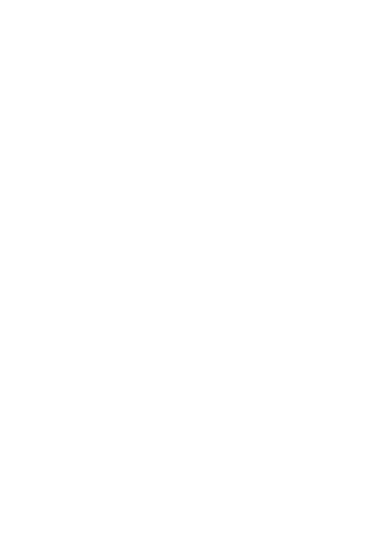#### 6 3rd Meeting of the CCAUV

Mr Veldman, CSIR-NML, was apointed as Rapporteurfor a third term. He was invited to compile the report immediately after the CCAUV meeting in an effort to expedite the report.

The agenda (CCAUV/02-00) was accepted as presented, with no proposals for change.

#### $\overline{2}$ REPORT ONE SECON MEETING OFFICCAUV OCTOBR 2001

The President delivered a short summary of the full report of the 2nd meeting of the CCAUV, highlighting important issues and complimenting the participants in the various key comparisons.

#### 3 PROGRESS AN RESULTS OF COMPARISON

The BIPM, through a working group, had proposed guidelines (CCAUV/02-36) for the evaluation of key comparison data and producing the key comparison reference value (KCRV). Dr Quinn confirmed that the document would be published in Metrologia He emphasized that the document should be seen as guidance.

A lengthy debate followed. Dr Filliben of the NIST expressed his strong views against the use of the weighted mean as a method of determining the KCRV. He was concerned that this method would be widely implemented as the weighted mean is the method favoured by the guidance document.

Dr Quinn disagreed with Dr Filliben's suggestion that if the BIPM published the guide document, it would be seen as the only way to calculate reference values. He expressed the view that the publication would encourage experts to publish their research either in support or opposition of the guidance.

Dr Filliben's views were met with opposition from some of the delegates. At the second convocation of the CCAUV, the pilot laboratories had presented investigations into the application of different methods for determining the KCRV for the different key comparisons. The methods that were considered included the mean, median, weighted mean and others. Data was presented that showed negligible differences between the methods for the key comparisons in question. In cases where the weighted mean had been applied, the pilot laboratory performed "validation checks" on the results to determine the robustness of the calculations. In cases where such checks revealed unsatisfactory results, different methods were then used to determine the KCRV for that specific measurement.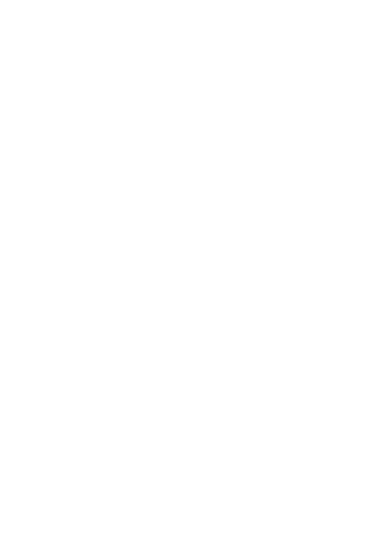could start in the middle of 2003. The participants are likely to be the BEV, DPLA, NIST, PTB and the NPL.

#### $3.3$ CCAUV.A-K3

Dr Echeverría-Villagómez and Prof. Rasmussen, the CENAM and the DPLA being joint pilot laboratories, reported on the progress of the CCAUV.A-K3 comparison (CCAUV/02-19). Dr Echeverría-Villagómez informed the meeting that the two laboratories had agreed that the DPLA would arrange, manage and execute the key comparison while the CENAM will analyze the measurement data and compile the reports. This was accepted by the CCAUV.

Prof. Rasmussen reported that some laboratories might not be ready to participate in the CCAUV.A-K4 (LSF2 microphone) key comparison as currently scheduled in parallel with the CCAUV.A-K3 (LSP2 microphone) key comparison. The proposed frequency range of 31 Hz to 25 kHz with 31.5 kHz as an optional frequency point was accepted.

It was agreed that the comparisons CCAUV.A-K3 and CCAUV.A-K4 will be separated completely. Prof. Rasmussen will amend the protocol for the two comparisons with specific reference to the timetables and participants. Both the NIM and the INMETRO will be added to the list of participants for CCAUV.A-K3.

#### $3.4$ **CCAUV.A-K4**

Prof. Rasmussen presented the draft protocol for the CCAUV.A-K4 comparison (CCAUV/02-20) of the free field calibration of LS2 microphones. As mentioned at 3.3, the meeting agreed to run comparisons CCAUV.A-K3 and CCAUV.A-K4 independently of each other. The meeting took note of the unfortunate additional cost implications for laboratories participating in both comparisons.

Prof. Wallard reminded the meeting that the MRA transition period expires at the end of 2003 and that normally all key comparisons that are needed to support calibration and measurement capabilities (CMC) submissions should be completed by then.

As laboratories would probably measure both the pressure and free-field response, a proposal from Mr Barham to use the comparison to determine pressure to free-field corrections was accepted.

This comparison will be postponed to late 2003 or early 2004. The frequency range 2 kHz to 31.5 kHz with 40 kHz as optional was proposed and accepted. The protocol will be amended and redistributed to all participants.

#### CCAUV.U-K1  $3.5$

Dr Beißner reported progress with the CCAUV.U-K1 comparison (CCAUV/02-12). The main application for these measurements is in the medical field. The comparison had been executed in four loops and the device was re-measured four times by the pilot laboratory. The participants were required to report two types of voltage measurements,  $G$  and  $P_{ref}$  (as in the report). As no noticeable